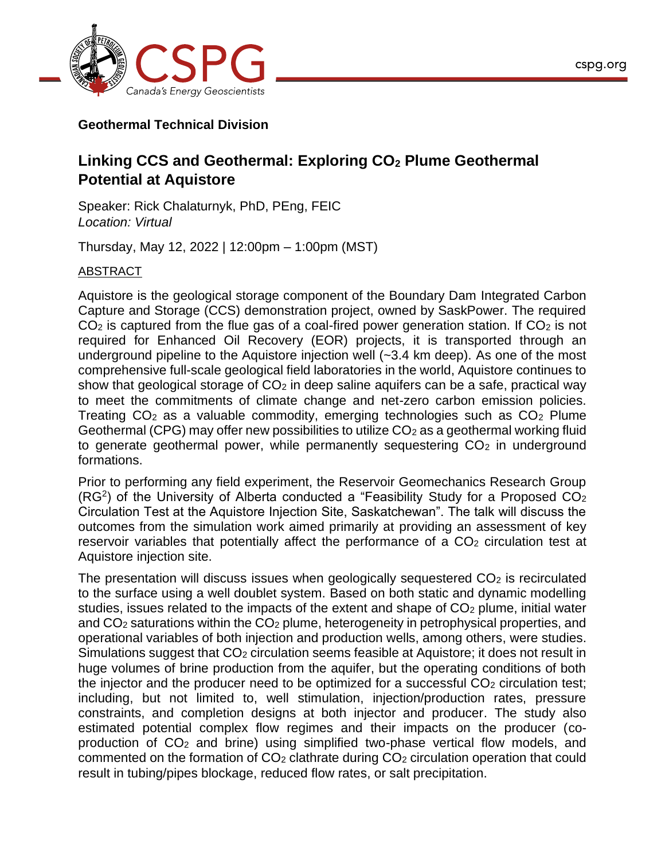

## **Geothermal Technical Division**

## **Linking CCS and Geothermal: Exploring CO<sup>2</sup> Plume Geothermal Potential at Aquistore**

Speaker: Rick Chalaturnyk, PhD, PEng, FEIC *Location: Virtual*

Thursday, May 12, 2022 | 12:00pm – 1:00pm (MST)

## ABSTRACT

Aquistore is the geological storage component of the Boundary Dam Integrated Carbon Capture and Storage (CCS) demonstration project, owned by SaskPower. The required  $CO<sub>2</sub>$  is captured from the flue gas of a coal-fired power generation station. If  $CO<sub>2</sub>$  is not required for Enhanced Oil Recovery (EOR) projects, it is transported through an underground pipeline to the Aquistore injection well (~3.4 km deep). As one of the most comprehensive full-scale geological field laboratories in the world, Aquistore continues to show that geological storage of  $CO<sub>2</sub>$  in deep saline aquifers can be a safe, practical way to meet the commitments of climate change and net-zero carbon emission policies. Treating  $CO<sub>2</sub>$  as a valuable commodity, emerging technologies such as  $CO<sub>2</sub>$  Plume Geothermal (CPG) may offer new possibilities to utilize  $CO<sub>2</sub>$  as a geothermal working fluid to generate geothermal power, while permanently sequestering  $CO<sub>2</sub>$  in underground formations.

Prior to performing any field experiment, the Reservoir Geomechanics Research Group  $(RG<sup>2</sup>)$  of the University of Alberta conducted a "Feasibility Study for a Proposed CO<sub>2</sub> Circulation Test at the Aquistore Injection Site, Saskatchewan". The talk will discuss the outcomes from the simulation work aimed primarily at providing an assessment of key reservoir variables that potentially affect the performance of a  $CO<sub>2</sub>$  circulation test at Aquistore injection site.

The presentation will discuss issues when geologically sequestered  $CO<sub>2</sub>$  is recirculated to the surface using a well doublet system. Based on both static and dynamic modelling studies, issues related to the impacts of the extent and shape of CO<sub>2</sub> plume, initial water and  $CO<sub>2</sub>$  saturations within the  $CO<sub>2</sub>$  plume, heterogeneity in petrophysical properties, and operational variables of both injection and production wells, among others, were studies. Simulations suggest that CO<sub>2</sub> circulation seems feasible at Aquistore; it does not result in huge volumes of brine production from the aquifer, but the operating conditions of both the injector and the producer need to be optimized for a successful  $CO<sub>2</sub>$  circulation test; including, but not limited to, well stimulation, injection/production rates, pressure constraints, and completion designs at both injector and producer. The study also estimated potential complex flow regimes and their impacts on the producer (coproduction of CO<sup>2</sup> and brine) using simplified two-phase vertical flow models, and commented on the formation of CO<sup>2</sup> clathrate during CO<sup>2</sup> circulation operation that could result in tubing/pipes blockage, reduced flow rates, or salt precipitation.